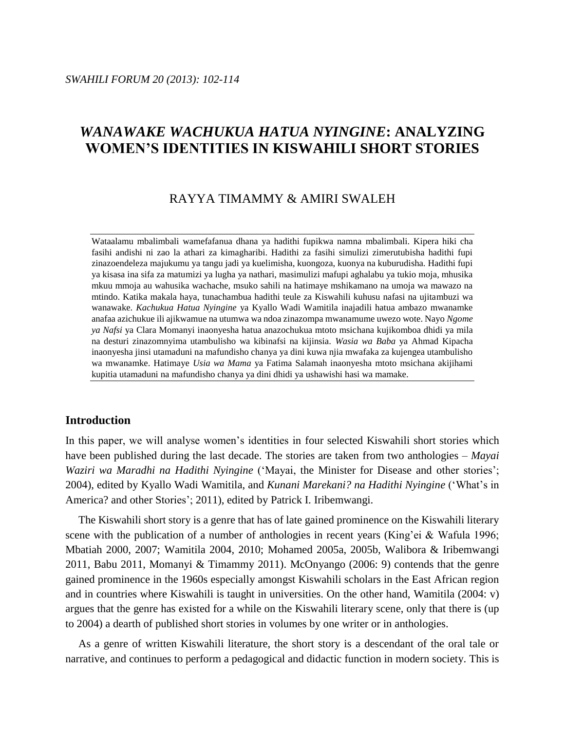# *WANAWAKE WACHUKUA HATUA NYINGINE***: ANALYZING WOMEN'S IDENTITIES IN KISWAHILI SHORT STORIES**

# RAYYA TIMAMMY & AMIRI SWALEH

Wataalamu mbalimbali wamefafanua dhana ya hadithi fupikwa namna mbalimbali. Kipera hiki cha fasihi andishi ni zao la athari za kimagharibi. Hadithi za fasihi simulizi zimerutubisha hadithi fupi zinazoendeleza majukumu ya tangu jadi ya kuelimisha, kuongoza, kuonya na kuburudisha. Hadithi fupi ya kisasa ina sifa za matumizi ya lugha ya nathari, masimulizi mafupi aghalabu ya tukio moja, mhusika mkuu mmoja au wahusika wachache, msuko sahili na hatimaye mshikamano na umoja wa mawazo na mtindo. Katika makala haya, tunachambua hadithi teule za Kiswahili kuhusu nafasi na ujitambuzi wa wanawake. *Kachukua Hatua Nyingine* ya Kyallo Wadi Wamitila inajadili hatua ambazo mwanamke anafaa azichukue ili ajikwamue na utumwa wa ndoa zinazompa mwanamume uwezo wote. Nayo *Ngome ya Nafsi* ya Clara Momanyi inaonyesha hatua anazochukua mtoto msichana kujikomboa dhidi ya mila na desturi zinazomnyima utambulisho wa kibinafsi na kijinsia. *Wasia wa Baba* ya Ahmad Kipacha inaonyesha jinsi utamaduni na mafundisho chanya ya dini kuwa njia mwafaka za kujengea utambulisho wa mwanamke. Hatimaye *Usia wa Mama* ya Fatima Salamah inaonyesha mtoto msichana akijihami kupitia utamaduni na mafundisho chanya ya dini dhidi ya ushawishi hasi wa mamake.

# **Introduction**

In this paper, we will analyse women's identities in four selected Kiswahili short stories which have been published during the last decade. The stories are taken from two anthologies – *Mayai Waziri wa Maradhi na Hadithi Nyingine* ('Mayai, the Minister for Disease and other stories'; 2004), edited by Kyallo Wadi Wamitila, and *Kunani Marekani? na Hadithi Nyingine* ('What's in America? and other Stories'; 2011), edited by Patrick I. Iribemwangi.

The Kiswahili short story is a genre that has of late gained prominence on the Kiswahili literary scene with the publication of a number of anthologies in recent years (King'ei & Wafula 1996; Mbatiah 2000, 2007; Wamitila 2004, 2010; Mohamed 2005a, 2005b, Walibora & Iribemwangi 2011, Babu 2011, Momanyi & Timammy 2011). McOnyango (2006: 9) contends that the genre gained prominence in the 1960s especially amongst Kiswahili scholars in the East African region and in countries where Kiswahili is taught in universities. On the other hand, Wamitila (2004: v) argues that the genre has existed for a while on the Kiswahili literary scene, only that there is (up to 2004) a dearth of published short stories in volumes by one writer or in anthologies.

As a genre of written Kiswahili literature, the short story is a descendant of the oral tale or narrative, and continues to perform a pedagogical and didactic function in modern society. This is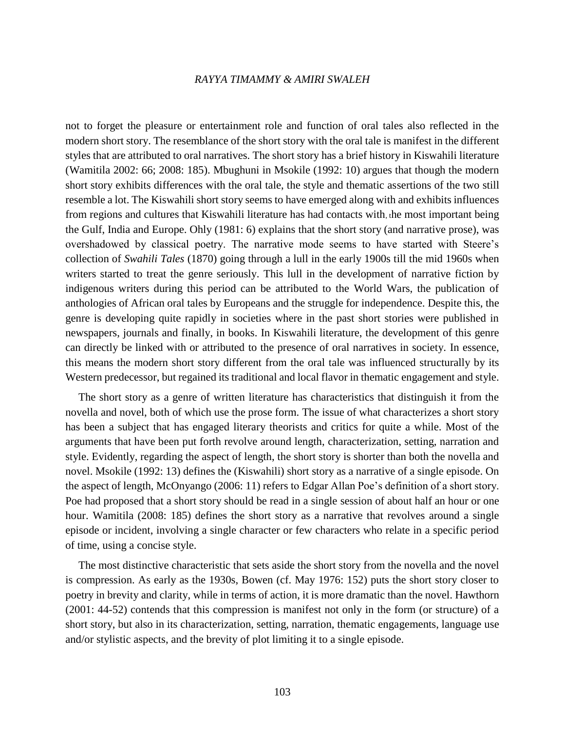not to forget the pleasure or entertainment role and function of oral tales also reflected in the modern short story. The resemblance of the short story with the oral tale is manifest in the different styles that are attributed to oral narratives. The short story has a brief history in Kiswahili literature (Wamitila 2002: 66; 2008: 185). Mbughuni in Msokile (1992: 10) argues that though the modern short story exhibits differences with the oral tale, the style and thematic assertions of the two still resemble a lot. The Kiswahili short story seems to have emerged along with and exhibits influences from regions and cultures that Kiswahili literature has had contacts with, the most important being the Gulf, India and Europe. Ohly (1981: 6) explains that the short story (and narrative prose), was overshadowed by classical poetry. The narrative mode seems to have started with Steere's collection of *Swahili Tales* (1870) going through a lull in the early 1900s till the mid 1960s when writers started to treat the genre seriously. This lull in the development of narrative fiction by indigenous writers during this period can be attributed to the World Wars, the publication of anthologies of African oral tales by Europeans and the struggle for independence. Despite this, the genre is developing quite rapidly in societies where in the past short stories were published in newspapers, journals and finally, in books. In Kiswahili literature, the development of this genre can directly be linked with or attributed to the presence of oral narratives in society. In essence, this means the modern short story different from the oral tale was influenced structurally by its Western predecessor, but regained its traditional and local flavor in thematic engagement and style.

The short story as a genre of written literature has characteristics that distinguish it from the novella and novel, both of which use the prose form. The issue of what characterizes a short story has been a subject that has engaged literary theorists and critics for quite a while. Most of the arguments that have been put forth revolve around length, characterization, setting, narration and style. Evidently, regarding the aspect of length, the short story is shorter than both the novella and novel. Msokile (1992: 13) defines the (Kiswahili) short story as a narrative of a single episode. On the aspect of length, McOnyango (2006: 11) refers to Edgar Allan Poe's definition of a short story. Poe had proposed that a short story should be read in a single session of about half an hour or one hour. Wamitila (2008: 185) defines the short story as a narrative that revolves around a single episode or incident, involving a single character or few characters who relate in a specific period of time, using a concise style.

The most distinctive characteristic that sets aside the short story from the novella and the novel is compression. As early as the 1930s, Bowen (cf. May 1976: 152) puts the short story closer to poetry in brevity and clarity, while in terms of action, it is more dramatic than the novel. Hawthorn (2001: 44-52) contends that this compression is manifest not only in the form (or structure) of a short story, but also in its characterization, setting, narration, thematic engagements, language use and/or stylistic aspects, and the brevity of plot limiting it to a single episode.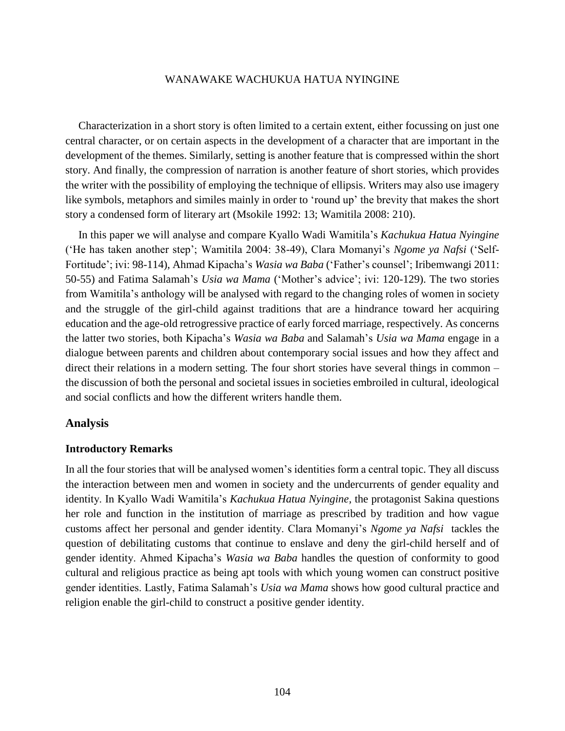Characterization in a short story is often limited to a certain extent, either focussing on just one central character, or on certain aspects in the development of a character that are important in the development of the themes. Similarly, setting is another feature that is compressed within the short story. And finally, the compression of narration is another feature of short stories, which provides the writer with the possibility of employing the technique of ellipsis. Writers may also use imagery like symbols, metaphors and similes mainly in order to 'round up' the brevity that makes the short story a condensed form of literary art (Msokile 1992: 13; Wamitila 2008: 210).

In this paper we will analyse and compare Kyallo Wadi Wamitila's *Kachukua Hatua Nyingine* ('He has taken another step'; Wamitila 2004: 38-49), Clara Momanyi's *Ngome ya Nafsi* ('Self-Fortitude'; ivi: 98-114), Ahmad Kipacha's *Wasia wa Baba* ('Father's counsel'; Iribemwangi 2011: 50-55) and Fatima Salamah's *Usia wa Mama* ('Mother's advice'; ivi: 120-129). The two stories from Wamitila's anthology will be analysed with regard to the changing roles of women in society and the struggle of the girl-child against traditions that are a hindrance toward her acquiring education and the age-old retrogressive practice of early forced marriage, respectively. As concerns the latter two stories, both Kipacha's *Wasia wa Baba* and Salamah's *Usia wa Mama* engage in a dialogue between parents and children about contemporary social issues and how they affect and direct their relations in a modern setting. The four short stories have several things in common – the discussion of both the personal and societal issues in societies embroiled in cultural, ideological and social conflicts and how the different writers handle them.

# **Analysis**

# **Introductory Remarks**

In all the four stories that will be analysed women's identities form a central topic. They all discuss the interaction between men and women in society and the undercurrents of gender equality and identity. In Kyallo Wadi Wamitila's *Kachukua Hatua Nyingine,* the protagonist Sakina questions her role and function in the institution of marriage as prescribed by tradition and how vague customs affect her personal and gender identity. Clara Momanyi's *Ngome ya Nafsi* tackles the question of debilitating customs that continue to enslave and deny the girl-child herself and of gender identity. Ahmed Kipacha's *Wasia wa Baba* handles the question of conformity to good cultural and religious practice as being apt tools with which young women can construct positive gender identities. Lastly, Fatima Salamah's *Usia wa Mama* shows how good cultural practice and religion enable the girl-child to construct a positive gender identity.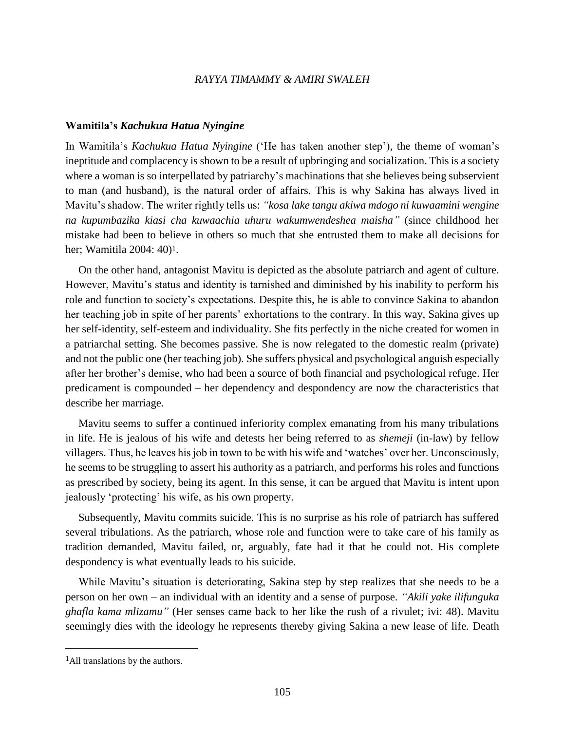#### **Wamitila's** *Kachukua Hatua Nyingine*

In Wamitila's *Kachukua Hatua Nyingine* ('He has taken another step'), the theme of woman's ineptitude and complacency is shown to be a result of upbringing and socialization. This is a society where a woman is so interpellated by patriarchy's machinations that she believes being subservient to man (and husband), is the natural order of affairs. This is why Sakina has always lived in Mavitu's shadow. The writer rightly tells us: *"kosa lake tangu akiwa mdogo ni kuwaamini wengine na kupumbazika kiasi cha kuwaachia uhuru wakumwendeshea maisha"* (since childhood her mistake had been to believe in others so much that she entrusted them to make all decisions for her; Wamitila 2004: 40) 1.

On the other hand, antagonist Mavitu is depicted as the absolute patriarch and agent of culture. However, Mavitu's status and identity is tarnished and diminished by his inability to perform his role and function to society's expectations. Despite this, he is able to convince Sakina to abandon her teaching job in spite of her parents' exhortations to the contrary. In this way, Sakina gives up her self-identity, self-esteem and individuality. She fits perfectly in the niche created for women in a patriarchal setting. She becomes passive. She is now relegated to the domestic realm (private) and not the public one (her teaching job). She suffers physical and psychological anguish especially after her brother's demise, who had been a source of both financial and psychological refuge. Her predicament is compounded – her dependency and despondency are now the characteristics that describe her marriage.

Mavitu seems to suffer a continued inferiority complex emanating from his many tribulations in life. He is jealous of his wife and detests her being referred to as *shemeji* (in-law) by fellow villagers. Thus, he leaves his job in town to be with his wife and 'watches' over her. Unconsciously, he seems to be struggling to assert his authority as a patriarch, and performs his roles and functions as prescribed by society, being its agent. In this sense, it can be argued that Mavitu is intent upon jealously 'protecting' his wife, as his own property.

Subsequently, Mavitu commits suicide. This is no surprise as his role of patriarch has suffered several tribulations. As the patriarch, whose role and function were to take care of his family as tradition demanded, Mavitu failed, or, arguably, fate had it that he could not. His complete despondency is what eventually leads to his suicide.

While Mavitu's situation is deteriorating, Sakina step by step realizes that she needs to be a person on her own – an individual with an identity and a sense of purpose. *"Akili yake ilifunguka ghafla kama mlizamu"* (Her senses came back to her like the rush of a rivulet; ivi: 48). Mavitu seemingly dies with the ideology he represents thereby giving Sakina a new lease of life. Death

 $\overline{a}$ 

<sup>&</sup>lt;sup>1</sup>All translations by the authors.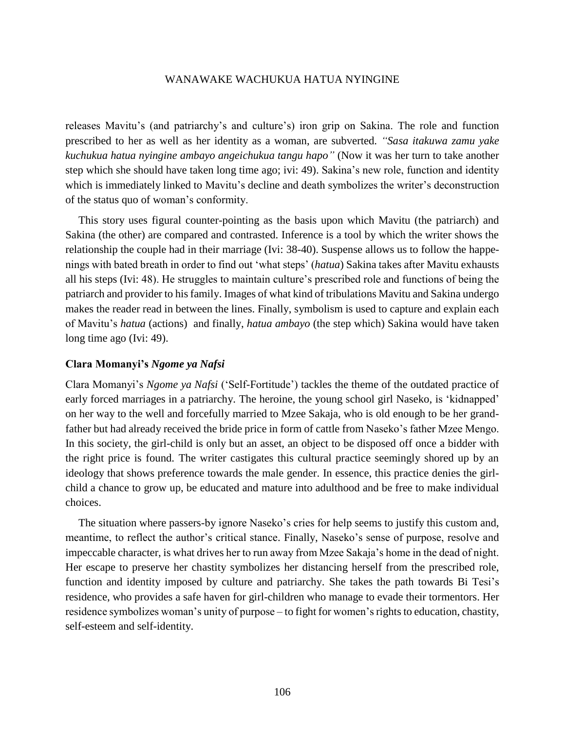releases Mavitu's (and patriarchy's and culture's) iron grip on Sakina. The role and function prescribed to her as well as her identity as a woman, are subverted. *"Sasa itakuwa zamu yake kuchukua hatua nyingine ambayo angeichukua tangu hapo"* (Now it was her turn to take another step which she should have taken long time ago; ivi: 49). Sakina's new role, function and identity which is immediately linked to Mavitu's decline and death symbolizes the writer's deconstruction of the status quo of woman's conformity.

This story uses figural counter-pointing as the basis upon which Mavitu (the patriarch) and Sakina (the other) are compared and contrasted. Inference is a tool by which the writer shows the relationship the couple had in their marriage (Ivi: 38-40). Suspense allows us to follow the happenings with bated breath in order to find out 'what steps' (*hatua*) Sakina takes after Mavitu exhausts all his steps (Ivi: 48). He struggles to maintain culture's prescribed role and functions of being the patriarch and provider to his family. Images of what kind of tribulations Mavitu and Sakina undergo makes the reader read in between the lines. Finally, symbolism is used to capture and explain each of Mavitu's *hatua* (actions) and finally, *hatua ambayo* (the step which) Sakina would have taken long time ago (Ivi: 49).

# **Clara Momanyi's** *Ngome ya Nafsi*

Clara Momanyi's *Ngome ya Nafsi* ('Self-Fortitude') tackles the theme of the outdated practice of early forced marriages in a patriarchy. The heroine, the young school girl Naseko, is 'kidnapped' on her way to the well and forcefully married to Mzee Sakaja, who is old enough to be her grandfather but had already received the bride price in form of cattle from Naseko's father Mzee Mengo. In this society, the girl-child is only but an asset, an object to be disposed off once a bidder with the right price is found. The writer castigates this cultural practice seemingly shored up by an ideology that shows preference towards the male gender. In essence, this practice denies the girlchild a chance to grow up, be educated and mature into adulthood and be free to make individual choices.

The situation where passers-by ignore Naseko's cries for help seems to justify this custom and, meantime, to reflect the author's critical stance. Finally, Naseko's sense of purpose, resolve and impeccable character, is what drives her to run away from Mzee Sakaja's home in the dead of night. Her escape to preserve her chastity symbolizes her distancing herself from the prescribed role, function and identity imposed by culture and patriarchy. She takes the path towards Bi Tesi's residence, who provides a safe haven for girl-children who manage to evade their tormentors. Her residence symbolizes woman's unity of purpose – to fight for women's rights to education, chastity, self-esteem and self-identity.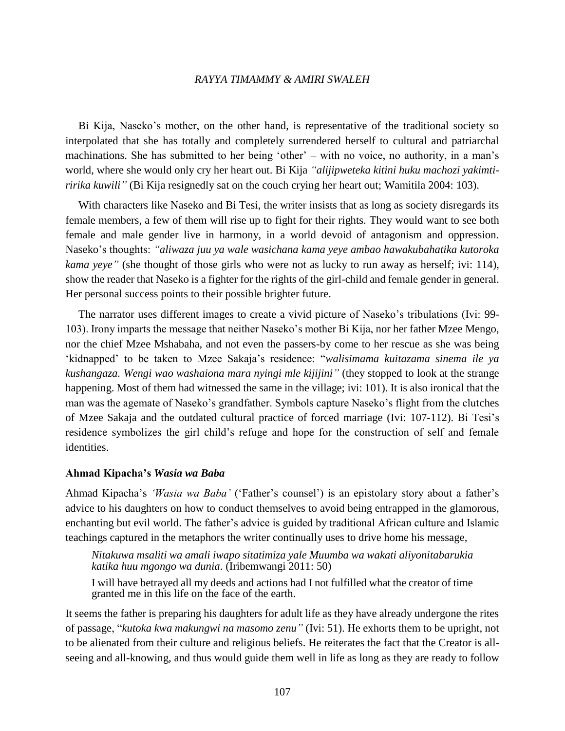Bi Kija, Naseko's mother, on the other hand, is representative of the traditional society so interpolated that she has totally and completely surrendered herself to cultural and patriarchal machinations. She has submitted to her being 'other' – with no voice, no authority, in a man's world, where she would only cry her heart out. Bi Kija *"alijipweteka kitini huku machozi yakimtiririka kuwili"* (Bi Kija resignedly sat on the couch crying her heart out; Wamitila 2004: 103).

With characters like Naseko and Bi Tesi, the writer insists that as long as society disregards its female members, a few of them will rise up to fight for their rights. They would want to see both female and male gender live in harmony, in a world devoid of antagonism and oppression. Naseko's thoughts: *"aliwaza juu ya wale wasichana kama yeye ambao hawakubahatika kutoroka kama yeye"* (she thought of those girls who were not as lucky to run away as herself; ivi: 114), show the reader that Naseko is a fighter for the rights of the girl-child and female gender in general. Her personal success points to their possible brighter future.

The narrator uses different images to create a vivid picture of Naseko's tribulations (Ivi: 99- 103). Irony imparts the message that neither Naseko's mother Bi Kija, nor her father Mzee Mengo, nor the chief Mzee Mshabaha, and not even the passers-by come to her rescue as she was being 'kidnapped' to be taken to Mzee Sakaja's residence: "*walisimama kuitazama sinema ile ya kushangaza. Wengi wao washaiona mara nyingi mle kijijini"* (they stopped to look at the strange happening. Most of them had witnessed the same in the village; ivi: 101). It is also ironical that the man was the agemate of Naseko's grandfather. Symbols capture Naseko's flight from the clutches of Mzee Sakaja and the outdated cultural practice of forced marriage (Ivi: 107-112). Bi Tesi's residence symbolizes the girl child's refuge and hope for the construction of self and female identities.

### **Ahmad Kipacha's** *Wasia wa Baba*

Ahmad Kipacha's *'Wasia wa Baba'* ('Father's counsel') is an epistolary story about a father's advice to his daughters on how to conduct themselves to avoid being entrapped in the glamorous, enchanting but evil world. The father's advice is guided by traditional African culture and Islamic teachings captured in the metaphors the writer continually uses to drive home his message,

*Nitakuwa msaliti wa amali iwapo sitatimiza yale Muumba wa wakati aliyonitabarukia katika huu mgongo wa dunia*. (Iribemwangi 2011: 50)

I will have betrayed all my deeds and actions had I not fulfilled what the creator of time granted me in this life on the face of the earth.

It seems the father is preparing his daughters for adult life as they have already undergone the rites of passage, "*kutoka kwa makungwi na masomo zenu"* (Ivi: 51). He exhorts them to be upright, not to be alienated from their culture and religious beliefs. He reiterates the fact that the Creator is allseeing and all-knowing, and thus would guide them well in life as long as they are ready to follow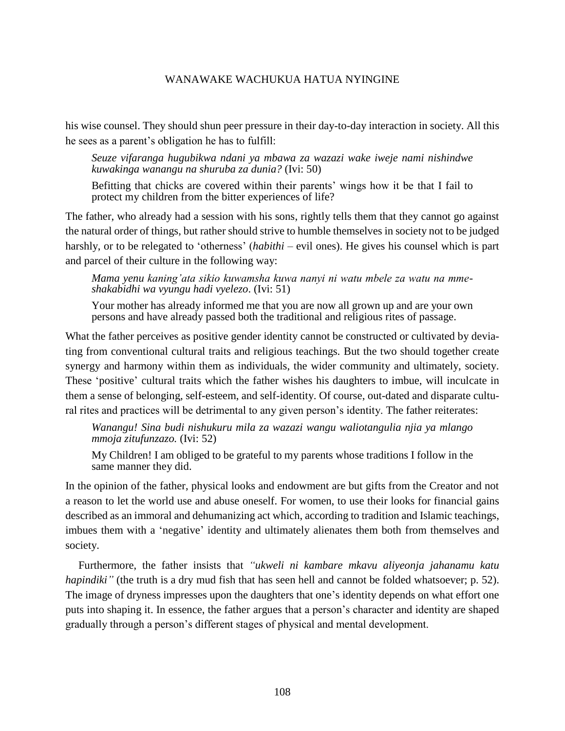his wise counsel. They should shun peer pressure in their day-to-day interaction in society. All this he sees as a parent's obligation he has to fulfill:

*Seuze vifaranga hugubikwa ndani ya mbawa za wazazi wake iweje nami nishindwe kuwakinga wanangu na shuruba za dunia?* (Ivi: 50)

Befitting that chicks are covered within their parents' wings how it be that I fail to protect my children from the bitter experiences of life?

The father, who already had a session with his sons, rightly tells them that they cannot go against the natural order of things, but rather should strive to humble themselves in society not to be judged harshly, or to be relegated to 'otherness' (*habithi* – evil ones). He gives his counsel which is part and parcel of their culture in the following way:

*Mama yenu kaning'ata sikio kuwamsha kuwa nanyi ni watu mbele za watu na mmeshakabidhi wa vyungu hadi vyelezo*. (Ivi: 51)

Your mother has already informed me that you are now all grown up and are your own persons and have already passed both the traditional and religious rites of passage.

What the father perceives as positive gender identity cannot be constructed or cultivated by deviating from conventional cultural traits and religious teachings. But the two should together create synergy and harmony within them as individuals, the wider community and ultimately, society. These 'positive' cultural traits which the father wishes his daughters to imbue, will inculcate in them a sense of belonging, self-esteem, and self-identity. Of course, out-dated and disparate cultural rites and practices will be detrimental to any given person's identity. The father reiterates:

*Wanangu! Sina budi nishukuru mila za wazazi wangu waliotangulia njia ya mlango mmoja zitufunzazo.* (Ivi: 52)

My Children! I am obliged to be grateful to my parents whose traditions I follow in the same manner they did.

In the opinion of the father, physical looks and endowment are but gifts from the Creator and not a reason to let the world use and abuse oneself. For women, to use their looks for financial gains described as an immoral and dehumanizing act which, according to tradition and Islamic teachings, imbues them with a 'negative' identity and ultimately alienates them both from themselves and society.

Furthermore, the father insists that *"ukweli ni kambare mkavu aliyeonja jahanamu katu hapindiki"* (the truth is a dry mud fish that has seen hell and cannot be folded whatsoever; p. 52). The image of dryness impresses upon the daughters that one's identity depends on what effort one puts into shaping it. In essence, the father argues that a person's character and identity are shaped gradually through a person's different stages of physical and mental development.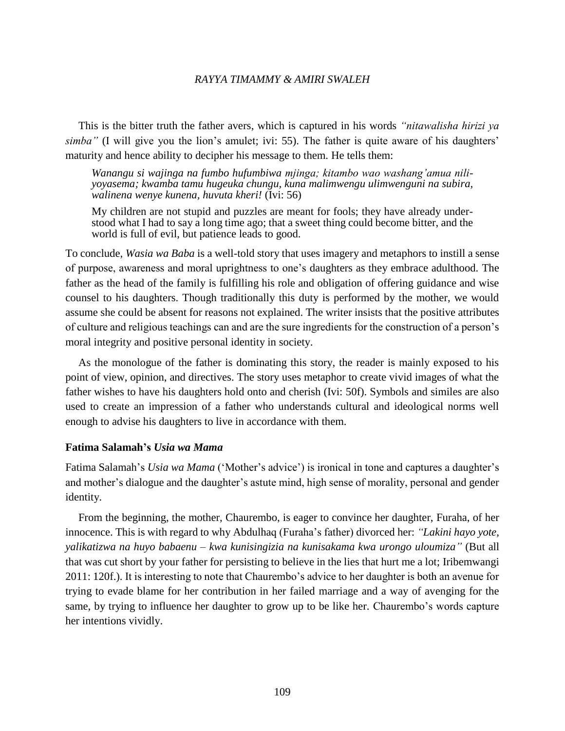This is the bitter truth the father avers, which is captured in his words *"nitawalisha hirizi ya simba"* (I will give you the lion's amulet; ivi: 55). The father is quite aware of his daughters' maturity and hence ability to decipher his message to them. He tells them:

*Wanangu si wajinga na fumbo hufumbiwa mjinga; kitambo wao washang'amua niliyoyasema; kwamba tamu hugeuka chungu, kuna malimwengu ulimwenguni na subira, walinena wenye kunena, huvuta kheri!* (Ivi: 56)

My children are not stupid and puzzles are meant for fools; they have already understood what I had to say a long time ago; that a sweet thing could become bitter, and the world is full of evil, but patience leads to good.

To conclude, *Wasia wa Baba* is a well-told story that uses imagery and metaphors to instill a sense of purpose, awareness and moral uprightness to one's daughters as they embrace adulthood. The father as the head of the family is fulfilling his role and obligation of offering guidance and wise counsel to his daughters. Though traditionally this duty is performed by the mother, we would assume she could be absent for reasons not explained. The writer insists that the positive attributes of culture and religious teachings can and are the sure ingredients for the construction of a person's moral integrity and positive personal identity in society.

As the monologue of the father is dominating this story, the reader is mainly exposed to his point of view, opinion, and directives. The story uses metaphor to create vivid images of what the father wishes to have his daughters hold onto and cherish (Ivi: 50f). Symbols and similes are also used to create an impression of a father who understands cultural and ideological norms well enough to advise his daughters to live in accordance with them.

# **Fatima Salamah's** *Usia wa Mama*

Fatima Salamah's *Usia wa Mama* ('Mother's advice') is ironical in tone and captures a daughter's and mother's dialogue and the daughter's astute mind, high sense of morality, personal and gender identity.

From the beginning, the mother, Chaurembo, is eager to convince her daughter, Furaha, of her innocence. This is with regard to why Abdulhaq (Furaha's father) divorced her: *"Lakini hayo yote, yalikatizwa na huyo babaenu – kwa kunisingizia na kunisakama kwa urongo uloumiza"* (But all that was cut short by your father for persisting to believe in the lies that hurt me a lot; Iribemwangi 2011: 120f.). It is interesting to note that Chaurembo's advice to her daughter is both an avenue for trying to evade blame for her contribution in her failed marriage and a way of avenging for the same, by trying to influence her daughter to grow up to be like her. Chaurembo's words capture her intentions vividly.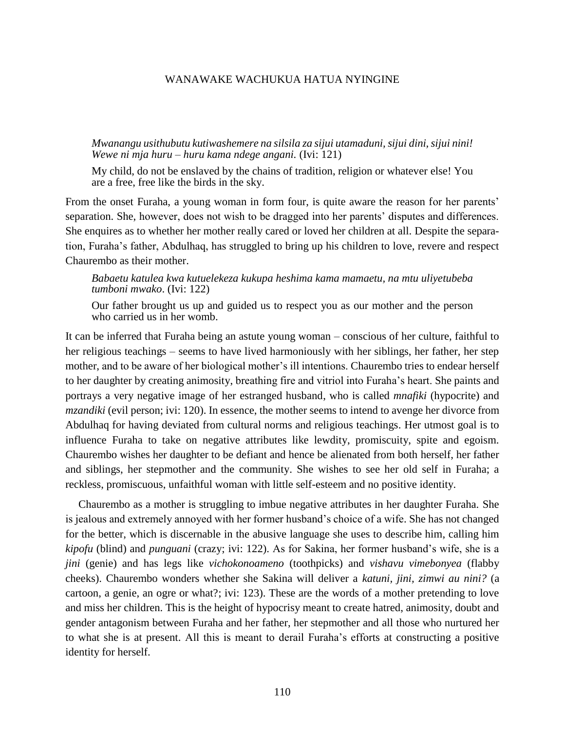*Mwanangu usithubutu kutiwashemere na silsila za sijui utamaduni, sijui dini, sijui nini! Wewe ni mja huru – huru kama ndege angani.* (Ivi: 121)

My child, do not be enslaved by the chains of tradition, religion or whatever else! You are a free, free like the birds in the sky.

From the onset Furaha, a young woman in form four, is quite aware the reason for her parents' separation. She, however, does not wish to be dragged into her parents' disputes and differences. She enquires as to whether her mother really cared or loved her children at all. Despite the separation, Furaha's father, Abdulhaq, has struggled to bring up his children to love, revere and respect Chaurembo as their mother.

# *Babaetu katulea kwa kutuelekeza kukupa heshima kama mamaetu, na mtu uliyetubeba tumboni mwako*. (Ivi: 122)

Our father brought us up and guided us to respect you as our mother and the person who carried us in her womb.

It can be inferred that Furaha being an astute young woman – conscious of her culture, faithful to her religious teachings – seems to have lived harmoniously with her siblings, her father, her step mother, and to be aware of her biological mother's ill intentions. Chaurembo tries to endear herself to her daughter by creating animosity, breathing fire and vitriol into Furaha's heart. She paints and portrays a very negative image of her estranged husband, who is called *mnafiki* (hypocrite) and *mzandiki* (evil person; ivi: 120). In essence, the mother seems to intend to avenge her divorce from Abdulhaq for having deviated from cultural norms and religious teachings. Her utmost goal is to influence Furaha to take on negative attributes like lewdity, promiscuity, spite and egoism. Chaurembo wishes her daughter to be defiant and hence be alienated from both herself, her father and siblings, her stepmother and the community. She wishes to see her old self in Furaha; a reckless, promiscuous, unfaithful woman with little self-esteem and no positive identity.

Chaurembo as a mother is struggling to imbue negative attributes in her daughter Furaha. She is jealous and extremely annoyed with her former husband's choice of a wife. She has not changed for the better, which is discernable in the abusive language she uses to describe him, calling him *kipofu* (blind) and *punguani* (crazy; ivi: 122). As for Sakina, her former husband's wife, she is a *jini* (genie) and has legs like *vichokonoameno* (toothpicks) and *vishavu vimebonyea* (flabby cheeks). Chaurembo wonders whether she Sakina will deliver a *katuni, jini, zimwi au nini?* (a cartoon, a genie, an ogre or what?; ivi: 123). These are the words of a mother pretending to love and miss her children. This is the height of hypocrisy meant to create hatred, animosity, doubt and gender antagonism between Furaha and her father, her stepmother and all those who nurtured her to what she is at present. All this is meant to derail Furaha's efforts at constructing a positive identity for herself.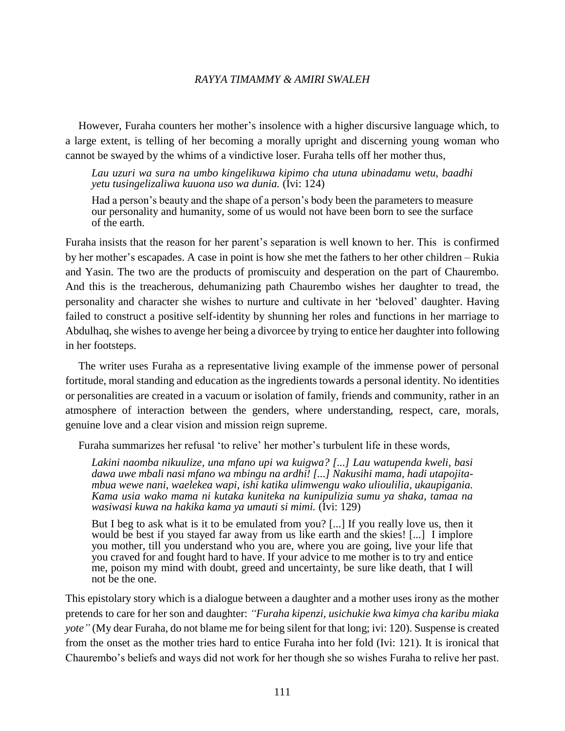However, Furaha counters her mother's insolence with a higher discursive language which, to a large extent, is telling of her becoming a morally upright and discerning young woman who cannot be swayed by the whims of a vindictive loser. Furaha tells off her mother thus,

*Lau uzuri wa sura na umbo kingelikuwa kipimo cha utuna ubinadamu wetu, baadhi yetu tusingelizaliwa kuuona uso wa dunia.* (Ivi: 124)

Had a person's beauty and the shape of a person's body been the parameters to measure our personality and humanity, some of us would not have been born to see the surface of the earth.

Furaha insists that the reason for her parent's separation is well known to her. This is confirmed by her mother's escapades. A case in point is how she met the fathers to her other children – Rukia and Yasin. The two are the products of promiscuity and desperation on the part of Chaurembo. And this is the treacherous, dehumanizing path Chaurembo wishes her daughter to tread, the personality and character she wishes to nurture and cultivate in her 'beloved' daughter. Having failed to construct a positive self-identity by shunning her roles and functions in her marriage to Abdulhaq, she wishes to avenge her being a divorcee by trying to entice her daughter into following in her footsteps.

The writer uses Furaha as a representative living example of the immense power of personal fortitude, moral standing and education as the ingredients towards a personal identity. No identities or personalities are created in a vacuum or isolation of family, friends and community, rather in an atmosphere of interaction between the genders, where understanding, respect, care, morals, genuine love and a clear vision and mission reign supreme.

Furaha summarizes her refusal 'to relive' her mother's turbulent life in these words,

*Lakini naomba nikuulize, una mfano upi wa kuigwa? [...] Lau watupenda kweli, basi dawa uwe mbali nasi mfano wa mbingu na ardhi! [...] Nakusihi mama, hadi utapojitambua wewe nani, waelekea wapi, ishi katika ulimwengu wako ulioulilia, ukaupigania. Kama usia wako mama ni kutaka kuniteka na kunipulizia sumu ya shaka, tamaa na wasiwasi kuwa na hakika kama ya umauti si mimi.* (Ivi: 129)

But I beg to ask what is it to be emulated from you? [...] If you really love us, then it would be best if you stayed far away from us like earth and the skies! [...] I implore you mother, till you understand who you are, where you are going, live your life that you craved for and fought hard to have. If your advice to me mother is to try and entice me, poison my mind with doubt, greed and uncertainty, be sure like death, that I will not be the one.

This epistolary story which is a dialogue between a daughter and a mother uses irony as the mother pretends to care for her son and daughter: *"Furaha kipenzi, usichukie kwa kimya cha karibu miaka yote"* (My dear Furaha, do not blame me for being silent for that long; ivi: 120). Suspense is created from the onset as the mother tries hard to entice Furaha into her fold (Ivi: 121). It is ironical that Chaurembo's beliefs and ways did not work for her though she so wishes Furaha to relive her past.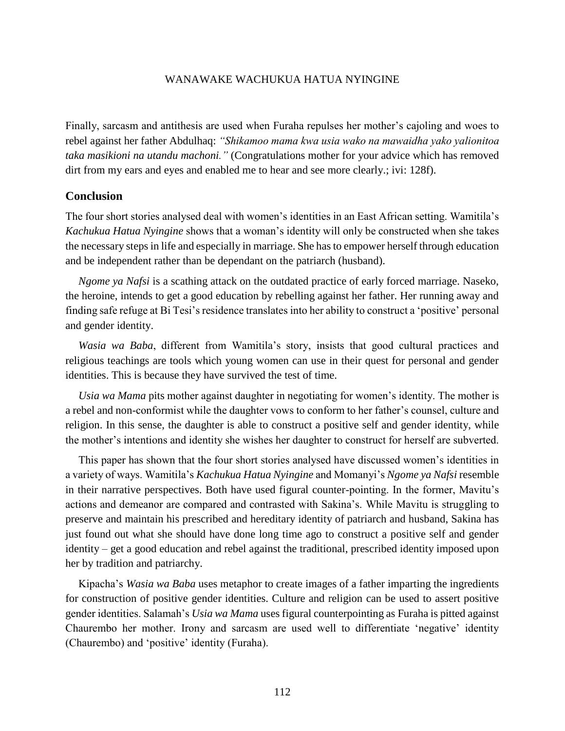Finally, sarcasm and antithesis are used when Furaha repulses her mother's cajoling and woes to rebel against her father Abdulhaq: *"Shikamoo mama kwa usia wako na mawaidha yako yalionitoa taka masikioni na utandu machoni."* (Congratulations mother for your advice which has removed dirt from my ears and eyes and enabled me to hear and see more clearly.; ivi: 128f).

# **Conclusion**

The four short stories analysed deal with women's identities in an East African setting. Wamitila's *Kachukua Hatua Nyingine* shows that a woman's identity will only be constructed when she takes the necessary steps in life and especially in marriage. She has to empower herself through education and be independent rather than be dependant on the patriarch (husband).

*Ngome ya Nafsi* is a scathing attack on the outdated practice of early forced marriage. Naseko, the heroine, intends to get a good education by rebelling against her father. Her running away and finding safe refuge at Bi Tesi's residence translates into her ability to construct a 'positive' personal and gender identity.

*Wasia wa Baba*, different from Wamitila's story, insists that good cultural practices and religious teachings are tools which young women can use in their quest for personal and gender identities. This is because they have survived the test of time.

*Usia wa Mama* pits mother against daughter in negotiating for women's identity. The mother is a rebel and non-conformist while the daughter vows to conform to her father's counsel, culture and religion. In this sense, the daughter is able to construct a positive self and gender identity, while the mother's intentions and identity she wishes her daughter to construct for herself are subverted.

This paper has shown that the four short stories analysed have discussed women's identities in a variety of ways. Wamitila's *Kachukua Hatua Nyingine* and Momanyi's *Ngome ya Nafsi* resemble in their narrative perspectives. Both have used figural counter-pointing. In the former, Mavitu's actions and demeanor are compared and contrasted with Sakina's. While Mavitu is struggling to preserve and maintain his prescribed and hereditary identity of patriarch and husband, Sakina has just found out what she should have done long time ago to construct a positive self and gender identity – get a good education and rebel against the traditional, prescribed identity imposed upon her by tradition and patriarchy.

Kipacha's *Wasia wa Baba* uses metaphor to create images of a father imparting the ingredients for construction of positive gender identities. Culture and religion can be used to assert positive gender identities. Salamah's *Usia wa Mama* uses figural counterpointing as Furaha is pitted against Chaurembo her mother. Irony and sarcasm are used well to differentiate 'negative' identity (Chaurembo) and 'positive' identity (Furaha).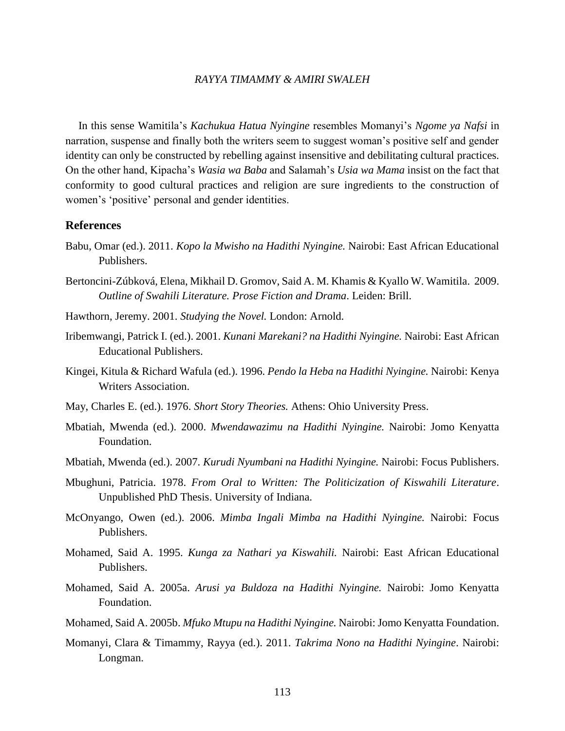In this sense Wamitila's *Kachukua Hatua Nyingine* resembles Momanyi's *Ngome ya Nafsi* in narration, suspense and finally both the writers seem to suggest woman's positive self and gender identity can only be constructed by rebelling against insensitive and debilitating cultural practices. On the other hand, Kipacha's *Wasia wa Baba* and Salamah's *Usia wa Mama* insist on the fact that conformity to good cultural practices and religion are sure ingredients to the construction of women's 'positive' personal and gender identities.

# **References**

- Babu, Omar (ed.). 2011. *Kopo la Mwisho na Hadithi Nyingine.* Nairobi: East African Educational Publishers.
- Bertoncini-Zúbková, Elena, Mikhail D. Gromov, Said A. M. Khamis & Kyallo W. Wamitila. 2009. *Outline of Swahili Literature. Prose Fiction and Drama*. Leiden: Brill.
- Hawthorn, Jeremy. 2001. *Studying the Novel.* London: Arnold.
- Iribemwangi, Patrick I. (ed.). 2001. *Kunani Marekani? na Hadithi Nyingine.* Nairobi: East African Educational Publishers.
- Kingei, Kitula & Richard Wafula (ed.). 1996. *Pendo la Heba na Hadithi Nyingine.* Nairobi: Kenya Writers Association.
- May, Charles E. (ed.). 1976. *Short Story Theories.* Athens: Ohio University Press.
- Mbatiah, Mwenda (ed.). 2000. *Mwendawazimu na Hadithi Nyingine.* Nairobi: Jomo Kenyatta Foundation.
- Mbatiah, Mwenda (ed.). 2007. *Kurudi Nyumbani na Hadithi Nyingine.* Nairobi: Focus Publishers.
- Mbughuni, Patricia. 1978. *From Oral to Written: The Politicization of Kiswahili Literature*. Unpublished PhD Thesis. University of Indiana.
- McOnyango, Owen (ed.). 2006. *Mimba Ingali Mimba na Hadithi Nyingine.* Nairobi: Focus Publishers.
- Mohamed, Said A. 1995. *Kunga za Nathari ya Kiswahili.* Nairobi: East African Educational Publishers.
- Mohamed, Said A. 2005a. *Arusi ya Buldoza na Hadithi Nyingine.* Nairobi: Jomo Kenyatta Foundation.
- Mohamed, Said A. 2005b. *Mfuko Mtupu na Hadithi Nyingine.* Nairobi: Jomo Kenyatta Foundation.
- Momanyi, Clara & Timammy, Rayya (ed.). 2011. *Takrima Nono na Hadithi Nyingine*. Nairobi: Longman.